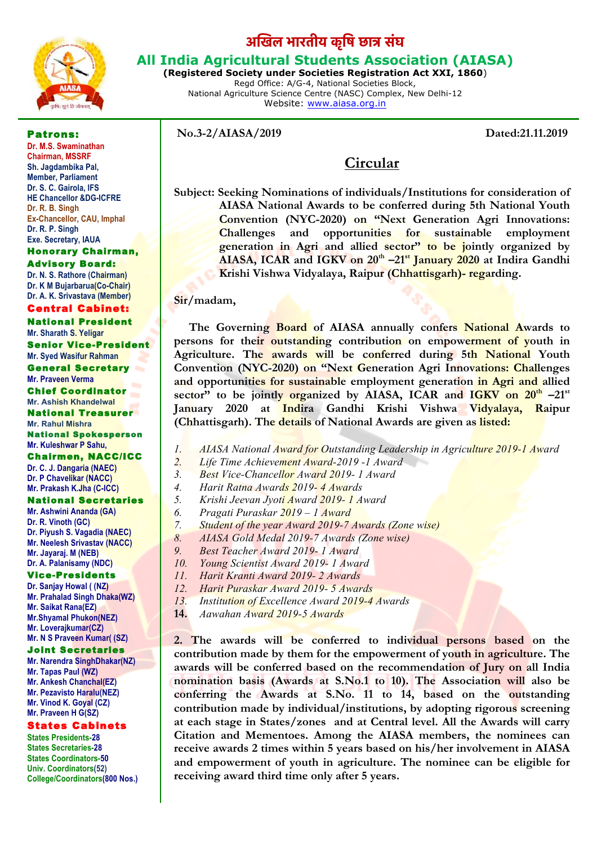

# **अिखल भारतीय कृिष छात संघ**

# **All India Agricultural Students Association (AIASA)**

**(Registered Society under Societies Registration Act XXI, 1860**) Regd Office: A/G-4, National Societies Block, National Agriculture Science Centre (NASC) Complex, New Delhi-12 Website: www.aiasa.org.in

Patrons:

**No.3-2/AIASA/2019 Dated:21.11.2019**

**Dr. M.S. Swaminathan Chairman, MSSRF Sh. Jagdambika Pal, Member, Parliament Dr. S. C. Gairola, IFS HE Chancellor &DG-ICFRE Dr. R. B. Singh Ex-Chancellor, CAU, Imphal Dr. R. P. Singh Exe. Secretary, IAUA**

#### Honorary Chairman, Advisory Board:

**Dr. N. S. Rathore (Chairman) Dr. K M Bujarbarua(Co-Chair) Dr. A. K. Srivastava (Member)**

#### Central Cabinet:

National President **Mr. Sharath S. Yeligar** Senior Vice-President **Mr. Syed Wasifur Rahman** General Secretary **Mr. Praveen Verma** Chief Coordinator **Mr. Ashish Khandelwal** National Treasurer **Mr. Rahul Mishra** National Spokesperson **Mr. Kuleshwar P Sahu,**

# Chairmen, NACC/ICC

**Dr. C. J. Dangaria (NAEC) Dr. P Chavelikar (NACC) Mr. Prakash K.Jha (C-ICC)**

#### National Secretaries

**Mr. Ashwini Ananda (GA) Dr. R. Vinoth (GC) Dr. Piyush S. Vagadia (NAEC) Mr. Neelesh Srivastav (NACC) Mr. Jayaraj. M (NEB) Dr. A. Palanisamy (NDC)**

#### Vice-Presidents

**Dr. Sanjay Howal ( (NZ) Mr. Prahalad Singh Dhaka(WZ) Mr. Saikat Rana(EZ) Mr.Shyamal Phukon(NEZ) Mr. Loverajkumar(CZ) Mr. N S Praveen Kumar( (SZ)**

#### Joint Secretaries

**Mr. Narendra SinghDhakar(NZ) Mr. Tapas Paul (WZ) Mr. Ankesh Chanchal(EZ) Mr. Pezavisto Haralu(NEZ) Mr. Vinod K. Goyal (CZ) Mr. Praveen H G(SZ)**

#### States Cabinets

**States Presidents-28 States Secretaries-28 States Coordinators-50 Univ. Coordinators(52) College/Coordinators(800 Nos.)**

# **Circular**

**Subject: Seeking Nominations of individuals/Institutions for consideration of AIASA National Awards to be conferred during 5th National Youth Convention (NYC-2020) on "Next Generation Agri Innovations: Challenges and opportunities for sustainable employment generation in Agri and allied sector" to be jointly organized by AIASA, ICAR and IGKV on 20<sup>th</sup> –21<sup>st</sup> January 2020** at Indira Gandhi **Krishi Vishwa Vidyalaya, Raipur (Chhattisgarh)- regarding.**

### **Sir/madam,**

 **The Governing Board of AIASA annually confers National Awards to persons for their outstanding contribution on empowerment of youth in Agriculture. The awards will be conferred during 5th National Youth Convention (NYC-2020) on "Next Generation Agri Innovations: Challenges and opportunities for sustainable employment generation in Agri and allied**  sector" to be jointly organized by AIASA, ICAR and IGKV on 20<sup>th</sup> –21<sup>st</sup> **January 2020 at Indira Gandhi Krishi Vishwa Vidyalaya, Raipur (Chhattisgarh). The details of National Awards are given as listed:**

- *1. AIASA National Award for Outstanding Leadership in Agriculture 2019-1 Award*
- *2. Life Time Achievement Award-2019 -1 Award*
- *3. Best Vice-Chancellor Award 2019- 1 Award*
- *4. Harit Ratna Awards 2019- 4 Awards*
- *5. Krishi Jeevan Jyoti Award 2019- 1 Award*
- *6. Pragati Puraskar 2019 – 1 Award*
- *7. Student of the year Award 2019-7 Awards (Zone wise)*
- *8. AIASA Gold Medal 2019-7 Awards (Zone wise)*
- *9. Best Teacher Award 2019- 1 Award*
- *10. Young Scientist Award 2019- 1 Award*
- *11. Harit Kranti Award 2019- 2 Awards*
- *12. Harit Puraskar Award 2019- 5 Awards*
- *13. Institution of Excellence Award 2019-4 Awards*
- **14.** *Aawahan Award 2019-5 Awards*

**2. The awards will be conferred to individual persons based on the contribution made by them for the empowerment of youth in agriculture. The awards will be conferred based on the recommendation of Jury on all India nomination basis (Awards at S.No.1 to 10). The Association will also be conferring the Awards at S.No. 11 to 14, based on the outstanding contribution made by individual/institutions, by adopting rigorous screening at each stage in States/zones and at Central level. All the Awards will carry Citation and Mementoes. Among the AIASA members, the nominees can receive awards 2 times within 5 years based on his/her involvement in AIASA and empowerment of youth in agriculture. The nominee can be eligible for receiving award third time only after 5 years.**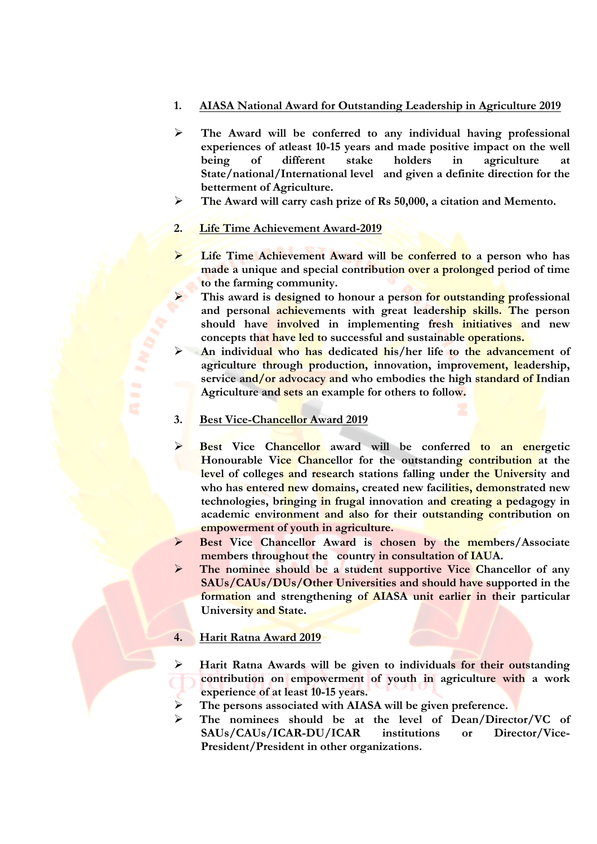## **1. AIASA National Award for Outstanding Leadership in Agriculture 2019**

- Ø **The Award will be conferred to any individual having professional experiences of atleast 10-15 years and made positive impact on the well being of different stake holders in agriculture at State/national/International level and given a definite direction for the betterment of Agriculture.**
- Ø **The Award will carry cash prize of Rs 50,000, a citation and Memento.**

### **2. Life Time Achievement Award-2019**

- Ø **Life Time Achievement Award will be conferred to a person who has made a unique and special contribution over a prolonged period of time to the farming community.**
- This award is designed to honour a person for outstanding professional **and personal achievements with great leadership skills. The person should have involved in implementing fresh initiatives and new concepts that have led to successful and sustainable operations.**
- Ø **An individual who has dedicated his/her life to the advancement of agriculture through production, innovation, improvement, leadership, service and/or advocacy and who embodies the high standard of Indian Agriculture and sets an example for others to follow.**

#### **3. Best Vice-Chancellor Award 2019**

- **Best Vice Chancellor** award will be conferred to an energetic **Honourable Vice Chancellor for the outstanding contribution at the level of colleges and research stations falling under the University and who has entered new domains, created new facilities, demonstrated new technologies, bringing in frugal innovation and creating a pedagogy in academic environment and also for their outstanding contribution on empowerment of youth in agriculture.**
- Ø **Best Vice Chancellor Award is chosen by the members/Associate members throughout the country in consultation of IAUA.**
- Ø **The nominee should be a student supportive Vice Chancellor of any SAUs/CAUs/DUs/Other Universities and should have supported in the formation and strengthening of AIASA unit earlier in their particular University and State.**

#### **4. Harit Ratna Award 2019**

- Ø **Harit Ratna Awards will be given to individuals for their outstanding contribution on empowerment of youth in agriculture with a work experience of at least 10-15 years.**
- Ø **The persons associated with AIASA will be given preference.**
- Ø **The nominees should be at the level of Dean/Director/VC of SAUs/CAUs/ICAR-DU/ICAR institutions or Director/Vice-President/President in other organizations.**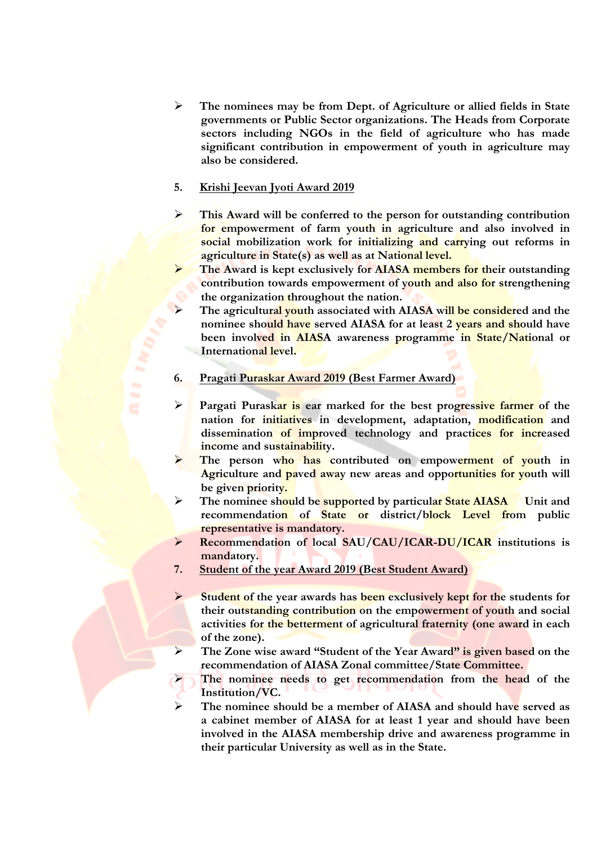Ø **The nominees may be from Dept. of Agriculture or allied fields in State governments or Public Sector organizations. The Heads from Corporate sectors including NGOs in the field of agriculture who has made significant contribution in empowerment of youth in agriculture may also be considered.**

# **5. Krishi Jeevan Jyoti Award 2019**

- Ø **This Award will be conferred to the person for outstanding contribution for empowerment of farm youth in agriculture and also involved in social mobilization work for initializing and carrying out reforms in agriculture in State(s) as well as at National level.**
- The Award is kept exclusively for AIASA members for their outstanding **contribution towards empowerment of youth and also for strengthening the organization throughout the nation.**
- The agricultural youth associated with AIASA will be considered and the **nominee should have served AIASA for at least 2 years and should have been involved in AIASA awareness programme in State/National or International level.**

# **6. Pragati Puraskar Award 2019 (Best Farmer Award)**

- Ø **Pargati Puraskar is ear marked for the best progressive farmer of the nation for initiatives in development, adaptation, modification and dissemination of improved technology and practices for increased income and sustainability.**
- Ø **The person who has contributed on empowerment of youth in Agriculture and paved away new areas and opportunities for youth will be given priority.**
- Ø **The nominee should be supported by particular State AIASA Unit and recommendation of State or district/block Level from public representative is mandatory.**
- Ø **Recommendation of local SAU/CAU/ICAR-DU/ICAR institutions is mandatory.**
- **7. Student of the year Award 2019 (Best Student Award)**
- Ø **Student of the year awards has been exclusively kept for the students for their outstanding contribution on the empowerment of youth and social activities for the betterment of agricultural fraternity (one award in each of the zone).**
- Ø **The Zone wise award "Student of the Year Award" is given based on the recommendation of AIASA Zonal committee/State Committee.**
	- The nominee needs to get recommendation from the head of the **Institution/VC.**
	- Ø **The nominee should be a member of AIASA and should have served as a cabinet member of AIASA for at least 1 year and should have been involved in the AIASA membership drive and awareness programme in their particular University as well as in the State.**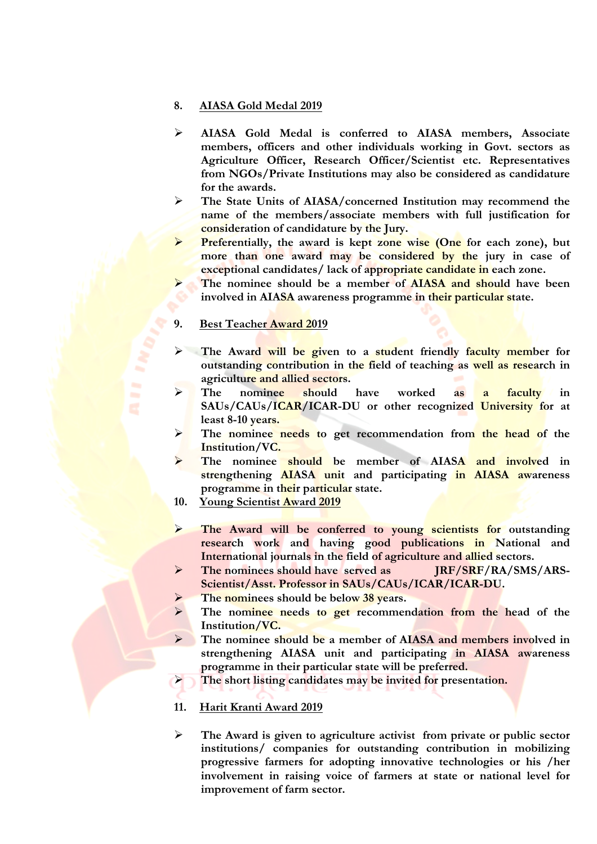#### **8. AIASA Gold Medal 2019**

- Ø **AIASA Gold Medal is conferred to AIASA members, Associate members, officers and other individuals working in Govt. sectors as Agriculture Officer, Research Officer/Scientist etc. Representatives from NGOs/Private Institutions may also be considered as candidature for the awards.**
- Ø **The State Units of AIASA/concerned Institution may recommend the name of the members/associate members with full justification for consideration of candidature by the Jury.**
- Ø **Preferentially, the award is kept zone wise (One for each zone), but more than one award may be considered by the jury in case of exceptional candidates/ lack of appropriate candidate in each zone.**
- Ø **The nominee should be a member of AIASA and should have been involved in AIASA awareness programme in their particular state.**

#### **9. Best Teacher Award 2019**

- Ø **The Award will be given to a student friendly faculty member for outstanding contribution in the field of teaching as well as research in agriculture and allied sectors.**
- The nominee should have worked as a faculty in **SAUs/CAUs/ICAR/ICAR-DU or other recognized University for at least 8-10 years.**
- Ø **The nominee needs to get recommendation from the head of the Institution/VC.**
- Ø **The nominee should be member of AIASA and involved in strengthening AIASA unit and participating in AIASA awareness programme in their particular state.**
- **10. Young Scientist Award 2019**
- Ø **The Award will be conferred to young scientists for outstanding research work and having good publications in National and International journals in the field of agriculture and allied sectors.**
- Ø **The nominees should have served as JRF/SRF/RA/SMS/ARS-Scientist/Asst. Professor in SAUs/CAUs/ICAR/ICAR-DU.**
- The nominees should be below 38 years.
- Ø **The nominee needs to get recommendation from the head of the Institution/VC.**
- Ø **The nominee should be a member of AIASA and members involved in strengthening AIASA unit and participating in AIASA awareness programme in their particular state will be preferred.**
- Ø **The short listing candidates may be invited for presentation.**
- **11. Harit Kranti Award 2019**
- Ø **The Award is given to agriculture activist from private or public sector institutions/ companies for outstanding contribution in mobilizing progressive farmers for adopting innovative technologies or his /her involvement in raising voice of farmers at state or national level for improvement of farm sector.**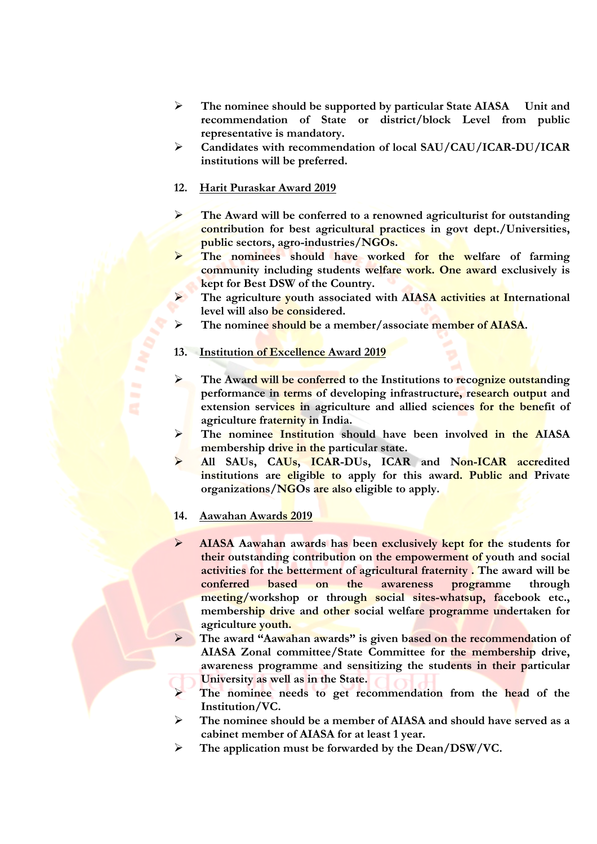- Ø **The nominee should be supported by particular State AIASA Unit and recommendation of State or district/block Level from public representative is mandatory.**
- Ø **Candidates with recommendation of local SAU/CAU/ICAR-DU/ICAR institutions will be preferred.**

## **12. Harit Puraskar Award 2019**

- Ø **The Award will be conferred to a renowned agriculturist for outstanding contribution for best agricultural practices in govt dept./Universities, public sectors, agro-industries/NGOs.**
- Ø **The nominees should have worked for the welfare of farming community including students welfare work. One award exclusively is kept for Best DSW of the Country.**
- Ø **The agriculture youth associated with AIASA activities at International level will also be considered.**
- Ø **The nominee should be a member/associate member of AIASA.**

### **13. Institution of Excellence Award 2019**

- Ø **The Award will be conferred to the Institutions to recognize outstanding performance in terms of developing infrastructure, research output and extension services in agriculture and allied sciences for the benefit of agriculture fraternity in India.**
- Ø **The nominee Institution should have been involved in the AIASA membership drive in the particular state.**
- Ø **All SAUs, CAUs, ICAR-DUs, ICAR and Non-ICAR accredited institutions are eligible to apply for this award. Public and Private organizations/NGOs are also eligible to apply.**

#### **14. Aawahan Awards 2019**

- Ø **AIASA Aawahan awards has been exclusively kept for the students for their outstanding contribution on the empowerment of youth and social activities for the betterment of agricultural fraternity . The award will be conferred based on the awareness programme through meeting/workshop or through social sites-whatsup, facebook etc., membership drive and other social welfare programme undertaken for agriculture youth.**
- Ø **The award "Aawahan awards" is given based on the recommendation of AIASA Zonal committee/State Committee for the membership drive, awareness programme and sensitizing the students in their particular University as well as in the State.**
- The nominee needs to get recommendation from the head of the **Institution/VC.**
- Ø **The nominee should be a member of AIASA and should have served as a cabinet member of AIASA for at least 1 year.**
- Ø **The application must be forwarded by the Dean/DSW/VC.**